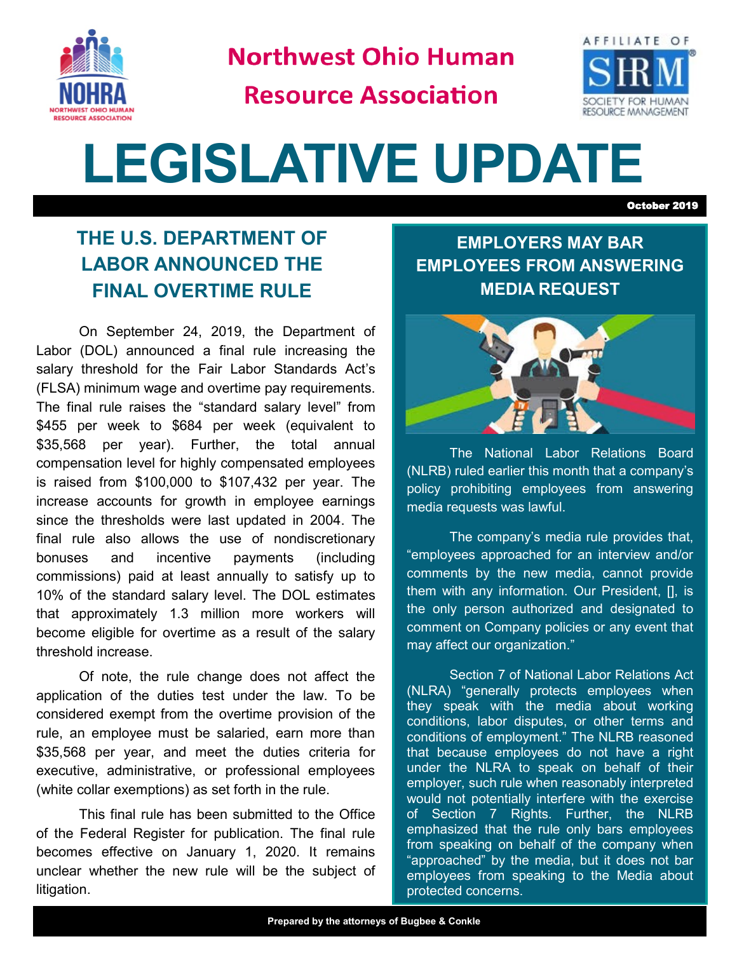

**Northwest Ohio Human** 

**Resource Association** 



## **LEGISLATIVE UPDATE**

October 2019

## **THE U.S. DEPARTMENT OF LABOR ANNOUNCED THE FINAL OVERTIME RULE**

On September 24, 2019, the Department of Labor (DOL) announced a final rule increasing the salary threshold for the Fair Labor Standards Act's (FLSA) minimum wage and overtime pay requirements. The final rule raises the "standard salary level" from \$455 per week to \$684 per week (equivalent to \$35,568 per year). Further, the total annual compensation level for highly compensated employees is raised from \$100,000 to \$107,432 per year. The increase accounts for growth in employee earnings since the thresholds were last updated in 2004. The final rule also allows the use of nondiscretionary bonuses and incentive payments (including commissions) paid at least annually to satisfy up to 10% of the standard salary level. The DOL estimates that approximately 1.3 million more workers will become eligible for overtime as a result of the salary threshold increase.

Of note, the rule change does not affect the application of the duties test under the law. To be considered exempt from the overtime provision of the rule, an employee must be salaried, earn more than \$35,568 per year, and meet the duties criteria for executive, administrative, or professional employees (white collar exemptions) as set forth in the rule.

This final rule has been submitted to the Office of the Federal Register for publication. The final rule becomes effective on January 1, 2020. It remains unclear whether the new rule will be the subject of litigation.

**EMPLOYERS MAY BAR EMPLOYEES FROM ANSWERING MEDIA REQUEST** 



The National Labor Relations Board (NLRB) ruled earlier this month that a company's policy prohibiting employees from answering media requests was lawful.

The company's media rule provides that, "employees approached for an interview and/or comments by the new media, cannot provide them with any information. Our President, [], is the only person authorized and designated to comment on Company policies or any event that may affect our organization."

Section 7 of National Labor Relations Act (NLRA) "generally protects employees when they speak with the media about working conditions, labor disputes, or other terms and conditions of employment." The NLRB reasoned that because employees do not have a right under the NLRA to speak on behalf of their employer, such rule when reasonably interpreted would not potentially interfere with the exercise of Section 7 Rights. Further, the NLRB emphasized that the rule only bars employees from speaking on behalf of the company when "approached" by the media, but it does not bar employees from speaking to the Media about protected concerns.